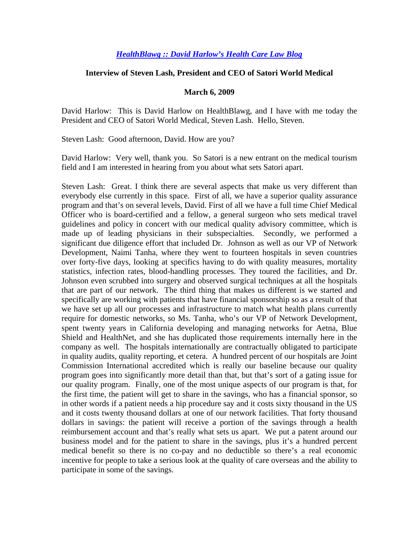## *HealthBlawg :: David Harlow's Health Care Law Blog*

## **Interview of Steven Lash, President and CEO of Satori World Medical**

## **March 6, 2009**

David Harlow: This is David Harlow on HealthBlawg, and I have with me today the President and CEO of Satori World Medical, Steven Lash. Hello, Steven.

Steven Lash: Good afternoon, David. How are you?

David Harlow: Very well, thank you. So Satori is a new entrant on the medical tourism field and I am interested in hearing from you about what sets Satori apart.

Steven Lash: Great. I think there are several aspects that make us very different than everybody else currently in this space. First of all, we have a superior quality assurance program and that's on several levels, David. First of all we have a full time Chief Medical Officer who is board-certified and a fellow, a general surgeon who sets medical travel guidelines and policy in concert with our medical quality advisory committee, which is made up of leading physicians in their subspecialties. Secondly, we performed a significant due diligence effort that included Dr. Johnson as well as our VP of Network Development, Naimi Tanha, where they went to fourteen hospitals in seven countries over forty-five days, looking at specifics having to do with quality measures, mortality statistics, infection rates, blood-handling processes. They toured the facilities, and Dr. Johnson even scrubbed into surgery and observed surgical techniques at all the hospitals that are part of our network. The third thing that makes us different is we started and specifically are working with patients that have financial sponsorship so as a result of that we have set up all our processes and infrastructure to match what health plans currently require for domestic networks, so Ms. Tanha, who's our VP of Network Development, spent twenty years in California developing and managing networks for Aetna, Blue Shield and HealthNet, and she has duplicated those requirements internally here in the company as well. The hospitals internationally are contractually obligated to participate in quality audits, quality reporting, et cetera. A hundred percent of our hospitals are Joint Commission International accredited which is really our baseline because our quality program goes into significantly more detail than that, but that's sort of a gating issue for our quality program. Finally, one of the most unique aspects of our program is that, for the first time, the patient will get to share in the savings, who has a financial sponsor, so in other words if a patient needs a hip procedure say and it costs sixty thousand in the US and it costs twenty thousand dollars at one of our network facilities. That forty thousand dollars in savings: the patient will receive a portion of the savings through a health reimbursement account and that's really what sets us apart. We put a patent around our business model and for the patient to share in the savings, plus it's a hundred percent medical benefit so there is no co-pay and no deductible so there's a real economic incentive for people to take a serious look at the quality of care overseas and the ability to participate in some of the savings.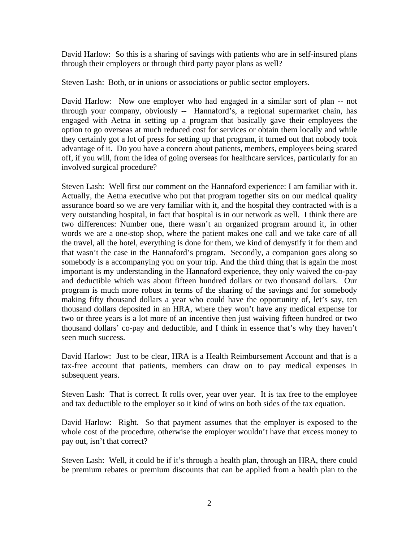David Harlow: So this is a sharing of savings with patients who are in self-insured plans through their employers or through third party payor plans as well?

Steven Lash: Both, or in unions or associations or public sector employers.

David Harlow: Now one employer who had engaged in a similar sort of plan -- not through your company, obviously -- Hannaford's, a regional supermarket chain, has engaged with Aetna in setting up a program that basically gave their employees the option to go overseas at much reduced cost for services or obtain them locally and while they certainly got a lot of press for setting up that program, it turned out that nobody took advantage of it. Do you have a concern about patients, members, employees being scared off, if you will, from the idea of going overseas for healthcare services, particularly for an involved surgical procedure?

Steven Lash: Well first our comment on the Hannaford experience: I am familiar with it. Actually, the Aetna executive who put that program together sits on our medical quality assurance board so we are very familiar with it, and the hospital they contracted with is a very outstanding hospital, in fact that hospital is in our network as well. I think there are two differences: Number one, there wasn't an organized program around it, in other words we are a one-stop shop, where the patient makes one call and we take care of all the travel, all the hotel, everything is done for them, we kind of demystify it for them and that wasn't the case in the Hannaford's program. Secondly, a companion goes along so somebody is a accompanying you on your trip. And the third thing that is again the most important is my understanding in the Hannaford experience, they only waived the co-pay and deductible which was about fifteen hundred dollars or two thousand dollars. Our program is much more robust in terms of the sharing of the savings and for somebody making fifty thousand dollars a year who could have the opportunity of, let's say, ten thousand dollars deposited in an HRA, where they won't have any medical expense for two or three years is a lot more of an incentive then just waiving fifteen hundred or two thousand dollars' co-pay and deductible, and I think in essence that's why they haven't seen much success.

David Harlow: Just to be clear, HRA is a Health Reimbursement Account and that is a tax-free account that patients, members can draw on to pay medical expenses in subsequent years.

Steven Lash: That is correct. It rolls over, year over year. It is tax free to the employee and tax deductible to the employer so it kind of wins on both sides of the tax equation.

David Harlow: Right. So that payment assumes that the employer is exposed to the whole cost of the procedure, otherwise the employer wouldn't have that excess money to pay out, isn't that correct?

Steven Lash: Well, it could be if it's through a health plan, through an HRA, there could be premium rebates or premium discounts that can be applied from a health plan to the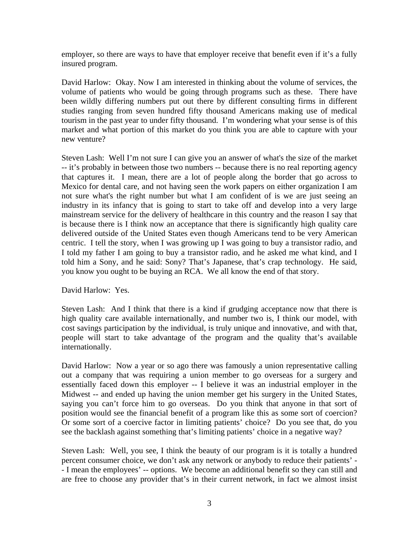employer, so there are ways to have that employer receive that benefit even if it's a fully insured program.

David Harlow: Okay. Now I am interested in thinking about the volume of services, the volume of patients who would be going through programs such as these. There have been wildly differing numbers put out there by different consulting firms in different studies ranging from seven hundred fifty thousand Americans making use of medical tourism in the past year to under fifty thousand. I'm wondering what your sense is of this market and what portion of this market do you think you are able to capture with your new venture?

Steven Lash: Well I'm not sure I can give you an answer of what's the size of the market -- it's probably in between those two numbers -- because there is no real reporting agency that captures it. I mean, there are a lot of people along the border that go across to Mexico for dental care, and not having seen the work papers on either organization I am not sure what's the right number but what I am confident of is we are just seeing an industry in its infancy that is going to start to take off and develop into a very large mainstream service for the delivery of healthcare in this country and the reason I say that is because there is I think now an acceptance that there is significantly high quality care delivered outside of the United States even though Americans tend to be very American centric. I tell the story, when I was growing up I was going to buy a transistor radio, and I told my father I am going to buy a transistor radio, and he asked me what kind, and I told him a Sony, and he said: Sony? That's Japanese, that's crap technology. He said, you know you ought to be buying an RCA. We all know the end of that story.

David Harlow: Yes.

Steven Lash: And I think that there is a kind if grudging acceptance now that there is high quality care available internationally, and number two is, I think our model, with cost savings participation by the individual, is truly unique and innovative, and with that, people will start to take advantage of the program and the quality that's available internationally.

David Harlow: Now a year or so ago there was famously a union representative calling out a company that was requiring a union member to go overseas for a surgery and essentially faced down this employer -- I believe it was an industrial employer in the Midwest -- and ended up having the union member get his surgery in the United States, saying you can't force him to go overseas. Do you think that anyone in that sort of position would see the financial benefit of a program like this as some sort of coercion? Or some sort of a coercive factor in limiting patients' choice? Do you see that, do you see the backlash against something that's limiting patients' choice in a negative way?

Steven Lash: Well, you see, I think the beauty of our program is it is totally a hundred percent consumer choice, we don't ask any network or anybody to reduce their patients' - - I mean the employees' -- options. We become an additional benefit so they can still and are free to choose any provider that's in their current network, in fact we almost insist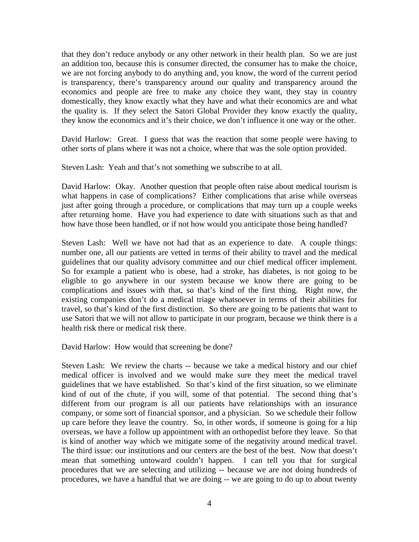that they don't reduce anybody or any other network in their health plan. So we are just an addition too, because this is consumer directed, the consumer has to make the choice, we are not forcing anybody to do anything and, you know, the word of the current period is transparency, there's transparency around our quality and transparency around the economics and people are free to make any choice they want, they stay in country domestically, they know exactly what they have and what their economics are and what the quality is. If they select the Satori Global Provider they know exactly the quality, they know the economics and it's their choice, we don't influence it one way or the other.

David Harlow: Great. I guess that was the reaction that some people were having to other sorts of plans where it was not a choice, where that was the sole option provided.

Steven Lash: Yeah and that's not something we subscribe to at all.

David Harlow: Okay. Another question that people often raise about medical tourism is what happens in case of complications? Either complications that arise while overseas just after going through a procedure, or complications that may turn up a couple weeks after returning home. Have you had experience to date with situations such as that and how have those been handled, or if not how would you anticipate those being handled?

Steven Lash: Well we have not had that as an experience to date. A couple things: number one, all our patients are vetted in terms of their ability to travel and the medical guidelines that our quality advisory committee and our chief medical officer implement. So for example a patient who is obese, had a stroke, has diabetes, is not going to be eligible to go anywhere in our system because we know there are going to be complications and issues with that, so that's kind of the first thing. Right now, the existing companies don't do a medical triage whatsoever in terms of their abilities for travel, so that's kind of the first distinction. So there are going to be patients that want to use Satori that we will not allow to participate in our program, because we think there is a health risk there or medical risk there.

David Harlow: How would that screening be done?

Steven Lash: We review the charts -- because we take a medical history and our chief medical officer is involved and we would make sure they meet the medical travel guidelines that we have established. So that's kind of the first situation, so we eliminate kind of out of the chute, if you will, some of that potential. The second thing that's different from our program is all our patients have relationships with an insurance company, or some sort of financial sponsor, and a physician. So we schedule their follow up care before they leave the country. So, in other words, if someone is going for a hip overseas, we have a follow up appointment with an orthopedist before they leave. So that is kind of another way which we mitigate some of the negativity around medical travel. The third issue: our institutions and our centers are the best of the best. Now that doesn't mean that something untoward couldn't happen. I can tell you that for surgical procedures that we are selecting and utilizing -- because we are not doing hundreds of procedures, we have a handful that we are doing -- we are going to do up to about twenty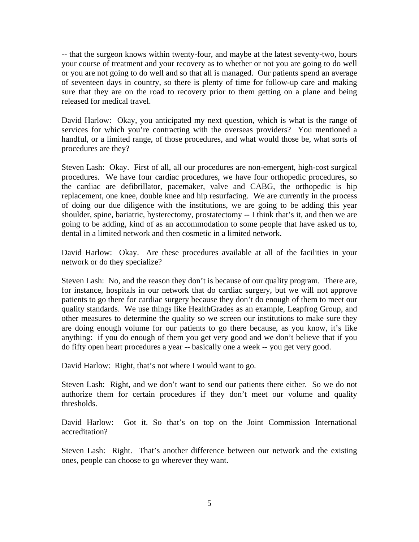-- that the surgeon knows within twenty-four, and maybe at the latest seventy-two, hours your course of treatment and your recovery as to whether or not you are going to do well or you are not going to do well and so that all is managed. Our patients spend an average of seventeen days in country, so there is plenty of time for follow-up care and making sure that they are on the road to recovery prior to them getting on a plane and being released for medical travel.

David Harlow: Okay, you anticipated my next question, which is what is the range of services for which you're contracting with the overseas providers? You mentioned a handful, or a limited range, of those procedures, and what would those be, what sorts of procedures are they?

Steven Lash: Okay. First of all, all our procedures are non-emergent, high-cost surgical procedures. We have four cardiac procedures, we have four orthopedic procedures, so the cardiac are defibrillator, pacemaker, valve and CABG, the orthopedic is hip replacement, one knee, double knee and hip resurfacing. We are currently in the process of doing our due diligence with the institutions, we are going to be adding this year shoulder, spine, bariatric, hysterectomy, prostatectomy -- I think that's it, and then we are going to be adding, kind of as an accommodation to some people that have asked us to, dental in a limited network and then cosmetic in a limited network.

David Harlow: Okay. Are these procedures available at all of the facilities in your network or do they specialize?

Steven Lash: No, and the reason they don't is because of our quality program. There are, for instance, hospitals in our network that do cardiac surgery, but we will not approve patients to go there for cardiac surgery because they don't do enough of them to meet our quality standards. We use things like HealthGrades as an example, Leapfrog Group, and other measures to determine the quality so we screen our institutions to make sure they are doing enough volume for our patients to go there because, as you know, it's like anything: if you do enough of them you get very good and we don't believe that if you do fifty open heart procedures a year -- basically one a week -- you get very good.

David Harlow: Right, that's not where I would want to go.

Steven Lash: Right, and we don't want to send our patients there either. So we do not authorize them for certain procedures if they don't meet our volume and quality thresholds.

David Harlow: Got it. So that's on top on the Joint Commission International accreditation?

Steven Lash: Right. That's another difference between our network and the existing ones, people can choose to go wherever they want.